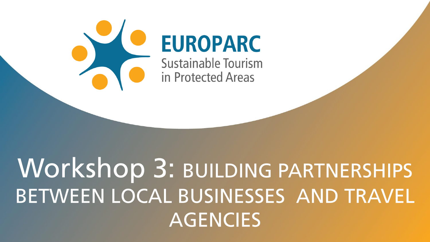

# **EUROPARC**

**Sustainable Tourism** in Protected Areas

# Workshop 3: BUILDING PARTNERSHIPS BETWEEN LOCAL BUSINESSES AND TRAVEL **AGENCIES**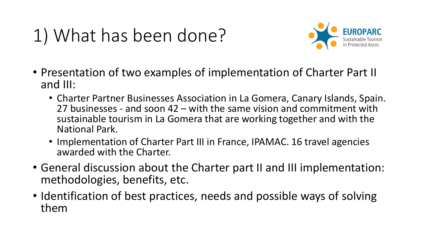## 1) What has been done?



- Presentation of two examples of implementation of Charter Part II and III:
	- Charter Partner Businesses Association in La Gomera, Canary Islands, Spain. 27 businesses - and soon 42 – with the same vision and commitment with sustainable tourism in La Gomera that are working together and with the National Park.
	- Implementation of Charter Part III in France, IPAMAC. 16 travel agencies awarded with the Charter.
- General discussion about the Charter part II and III implementation: methodologies, benefits, etc.
- Identification of best practices, needs and possible ways of solving them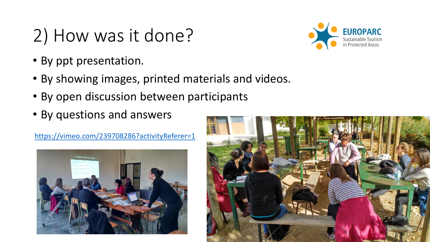#### 2) How was it done?

- By ppt presentation.
- By showing images, printed materials and videos.
- By open discussion between participants
- By questions and answers

<https://vimeo.com/239708286?activityReferer=1>





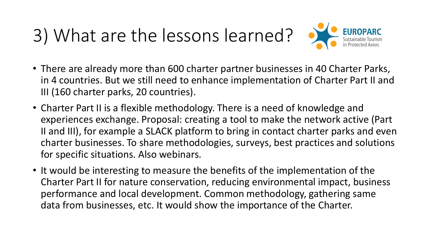# 3) What are the lessons learned?



- There are already more than 600 charter partner businesses in 40 Charter Parks, in 4 countries. But we still need to enhance implementation of Charter Part II and III (160 charter parks, 20 countries).
- Charter Part II is a flexible methodology. There is a need of knowledge and experiences exchange. Proposal: creating a tool to make the network active (Part II and III), for example a SLACK platform to bring in contact charter parks and even charter businesses. To share methodologies, surveys, best practices and solutions for specific situations. Also webinars.
- It would be interesting to measure the benefits of the implementation of the Charter Part II for nature conservation, reducing environmental impact, business performance and local development. Common methodology, gathering same data from businesses, etc. It would show the importance of the Charter.